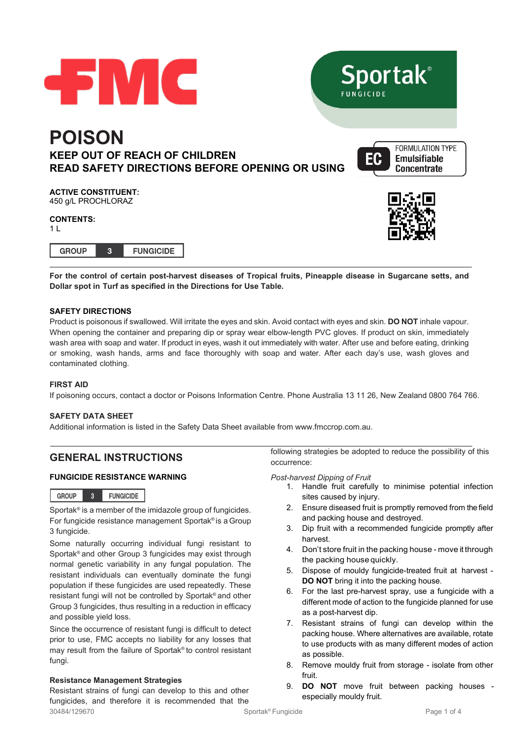

**For the control of certain post-harvest diseases of Tropical fruits, Pineapple disease in Sugarcane setts, and Dollar spot in Turf as specified in the Directions for Use Table.**

## **SAFETY DIRECTIONS**

Product is poisonous if swallowed. Will irritate the eyes and skin. Avoid contact with eyes and skin. **DO NOT** inhale vapour. When opening the container and preparing dip or spray wear elbow-length PVC gloves. If product on skin, immediately wash area with soap and water. If product in eyes, wash it out immediately with water. After use and before eating, drinking or smoking, wash hands, arms and face thoroughly with soap and water. After each day's use, wash gloves and contaminated clothing.

#### **FIRST AID**

If poisoning occurs, contact a doctor or Poisons Information Centre. Phone Australia 13 11 26, New Zealand 0800 764 766.

### **SAFETY DATA SHEET**

Additional information is listed in the Safety Data Sheet available from [www.fmccrop.com.au.](http://www.fmccrop.com.au/)

# **GENERAL INSTRUCTIONS**

### **FUNGICIDE RESISTANCE WARNING**

| <b>GROUP</b> |  | <b>FUNGICIDE</b> |
|--------------|--|------------------|
|--------------|--|------------------|

Sportak® is a member of the imidazole group of fungicides. For fungicide resistance management Sportak® is a Group 3 fungicide.

Some naturally occurring individual fungi resistant to Sportak® and other Group 3 fungicides may exist through normal genetic variability in any fungal population. The resistant individuals can eventually dominate the fungi population if these fungicides are used repeatedly. These resistant fungi will not be controlled by Sportak® and other Group 3 fungicides, thus resulting in a reduction in efficacy and possible yield loss.

Since the occurrence of resistant fungi is difficult to detect prior to use, FMC accepts no liability for any losses that may result from the failure of Sportak® to control resistant fungi.

#### **Resistance Management Strategies**

30484/129670 Sportak® Fungicide Page 1 of 4 Resistant strains of fungi can develop to this and other fungicides, and therefore it is recommended that the

following strategies be adopted to reduce the possibility of this occurrence:

*Post-harvest Dipping of Fruit*

- 1. Handle fruit carefully to minimise potential infection sites caused by injury.
- 2. Ensure diseased fruit is promptly removed from the field and packing house and destroyed.
- 3. Dip fruit with a recommended fungicide promptly after harvest.
- 4. Don't store fruit in the packing house move it through the packing house quickly.
- 5. Dispose of mouldy fungicide-treated fruit at harvest **DO NOT** bring it into the packing house.
- 6. For the last pre-harvest spray, use a fungicide with a different mode of action to the fungicide planned for use as a post-harvest dip.
- 7. Resistant strains of fungi can develop within the packing house. Where alternatives are available, rotate to use products with as many different modes of action as possible.
- 8. Remove mouldy fruit from storage isolate from other fruit.
- 9. **DO NOT** move fruit between packing houses especially mouldy fruit.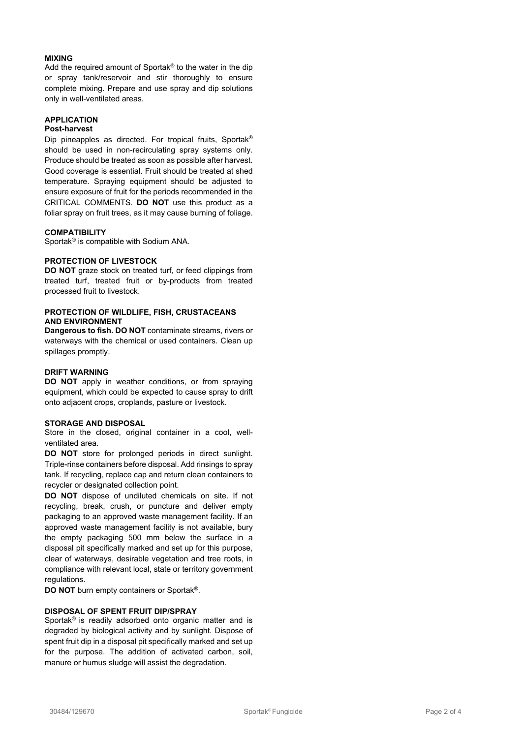#### **MIXING**

Add the required amount of Sportak® to the water in the dip or spray tank/reservoir and stir thoroughly to ensure complete mixing. Prepare and use spray and dip solutions only in well-ventilated areas.

## **APPLICATION**

### **Post-harvest**

Dip pineapples as directed. For tropical fruits, Sportak® should be used in non-recirculating spray systems only. Produce should be treated as soon as possible after harvest. Good coverage is essential. Fruit should be treated at shed temperature. Spraying equipment should be adjusted to ensure exposure of fruit for the periods recommended in the CRITICAL COMMENTS. **DO NOT** use this product as a foliar spray on fruit trees, as it may cause burning of foliage.

#### **COMPATIBILITY**

Sportak® is compatible with Sodium ANA.

#### **PROTECTION OF LIVESTOCK**

**DO NOT** graze stock on treated turf, or feed clippings from treated turf, treated fruit or by-products from treated processed fruit to livestock.

### **PROTECTION OF WILDLIFE, FISH, CRUSTACEANS AND ENVIRONMENT**

**Dangerous to fish. DO NOT** contaminate streams, rivers or waterways with the chemical or used containers. Clean up spillages promptly.

#### **DRIFT WARNING**

**DO NOT** apply in weather conditions, or from spraying equipment, which could be expected to cause spray to drift onto adjacent crops, croplands, pasture or livestock.

#### **STORAGE AND DISPOSAL**

Store in the closed, original container in a cool, wellventilated area.

**DO NOT** store for prolonged periods in direct sunlight. Triple-rinse containers before disposal. Add rinsings to spray tank. If recycling, replace cap and return clean containers to recycler or designated collection point.

**DO NOT** dispose of undiluted chemicals on site. If not recycling, break, crush, or puncture and deliver empty packaging to an approved waste management facility. If an approved waste management facility is not available, bury the empty packaging 500 mm below the surface in a disposal pit specifically marked and set up for this purpose, clear of waterways, desirable vegetation and tree roots, in compliance with relevant local, state or territory government regulations.

**DO NOT** burn empty containers or Sportak®.

### **DISPOSAL OF SPENT FRUIT DIP/SPRAY**

Sportak<sup>®</sup> is readily adsorbed onto organic matter and is degraded by biological activity and by sunlight. Dispose of spent fruit dip in a disposal pit specifically marked and set up for the purpose. The addition of activated carbon, soil, manure or humus sludge will assist the degradation.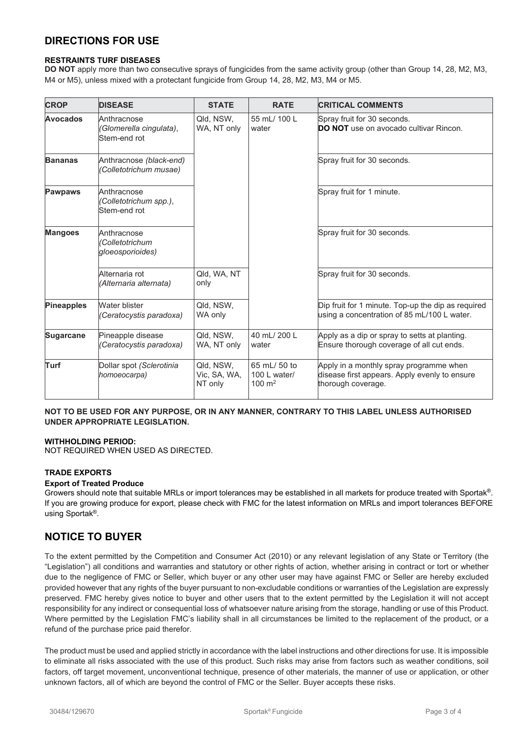# **DIRECTIONS FOR USE**

## **RESTRAINTS TURF DISEASES**

**DO NOT** apply more than two consecutive sprays of fungicides from the same activity group (other than Group 14, 28, M2, M3, M4 or M5), unless mixed with a protectant fungicide from Group 14, 28, M2, M3, M4 or M5.

| <b>CROP</b>       | <b>DISEASE</b>                                         | <b>STATE</b>                         | <b>RATE</b>                                       | <b>CRITICAL COMMENTS</b>                                                                                       |
|-------------------|--------------------------------------------------------|--------------------------------------|---------------------------------------------------|----------------------------------------------------------------------------------------------------------------|
| <b>Avocados</b>   | Anthracnose<br>(Glomerella cingulata),<br>Stem-end rot | Qld, NSW,<br>WA, NT only             | 55 mL/ 100 L<br>water                             | Spray fruit for 30 seconds.<br><b>DO NOT</b> use on avocado cultivar Rincon.                                   |
| <b>Bananas</b>    | Anthracnose (black-end)<br>(Colletotrichum musae)      |                                      |                                                   | Spray fruit for 30 seconds.                                                                                    |
| <b>Pawpaws</b>    | Anthracnose<br>(Colletotrichum spp.),<br>Stem-end rot  |                                      |                                                   | Spray fruit for 1 minute.                                                                                      |
| <b>Mangoes</b>    | Anthracnose<br>(Colletotrichum<br>gloeosporioides)     |                                      |                                                   | Spray fruit for 30 seconds.                                                                                    |
|                   | Alternaria rot<br>(Alternaria alternata)               | Qld, WA, NT<br>only                  |                                                   | Spray fruit for 30 seconds.                                                                                    |
| <b>Pineapples</b> | Water blister<br>(Ceratocystis paradoxa)               | Qld, NSW,<br>WA only                 |                                                   | Dip fruit for 1 minute. Top-up the dip as required<br>using a concentration of 85 mL/100 L water.              |
| <b>Sugarcane</b>  | Pineapple disease<br>(Ceratocystis paradoxa)           | Qld, NSW,<br>WA, NT only             | 40 mL/ 200 L<br>water                             | Apply as a dip or spray to setts at planting.<br>Ensure thorough coverage of all cut ends.                     |
| Turf              | Dollar spot (Sclerotinia<br>homoeocarpa)               | Qld, NSW,<br>Vic, SA, WA,<br>NT only | 65 mL/ 50 to<br>100 L water/<br>$100 \text{ m}^2$ | Apply in a monthly spray programme when<br>disease first appears. Apply evenly to ensure<br>thorough coverage. |

## **NOT TO BE USED FOR ANY PURPOSE, OR IN ANY MANNER, CONTRARY TO THIS LABEL UNLESS AUTHORISED UNDER APPROPRIATE LEGISLATION.**

### **WITHHOLDING PERIOD:**

NOT REQUIRED WHEN USED AS DIRECTED.

#### **TRADE EXPORTS**

#### **Export of Treated Produce**

Growers should note that suitable MRLs or import tolerances may be established in all markets for produce treated with Sportak®. If you are growing produce for export, please check with FMC for the latest information on MRLs and import tolerances BEFORE using Sportak®.

## **NOTICE TO BUYER**

To the extent permitted by the Competition and Consumer Act (2010) or any relevant legislation of any State or Territory (the "Legislation") all conditions and warranties and statutory or other rights of action, whether arising in contract or tort or whether due to the negligence of FMC or Seller, which buyer or any other user may have against FMC or Seller are hereby excluded provided however that any rights of the buyer pursuant to non-excludable conditions or warranties of the Legislation are expressly preserved. FMC hereby gives notice to buyer and other users that to the extent permitted by the Legislation it will not accept responsibility for any indirect or consequential loss of whatsoever nature arising from the storage, handling or use of this Product. Where permitted by the Legislation FMC's liability shall in all circumstances be limited to the replacement of the product, or a refund of the purchase price paid therefor.

The product must be used and applied strictly in accordance with the label instructions and other directions for use. It is impossible to eliminate all risks associated with the use of this product. Such risks may arise from factors such as weather conditions, soil factors, off target movement, unconventional technique, presence of other materials, the manner of use or application, or other unknown factors, all of which are beyond the control of FMC or the Seller. Buyer accepts these risks.